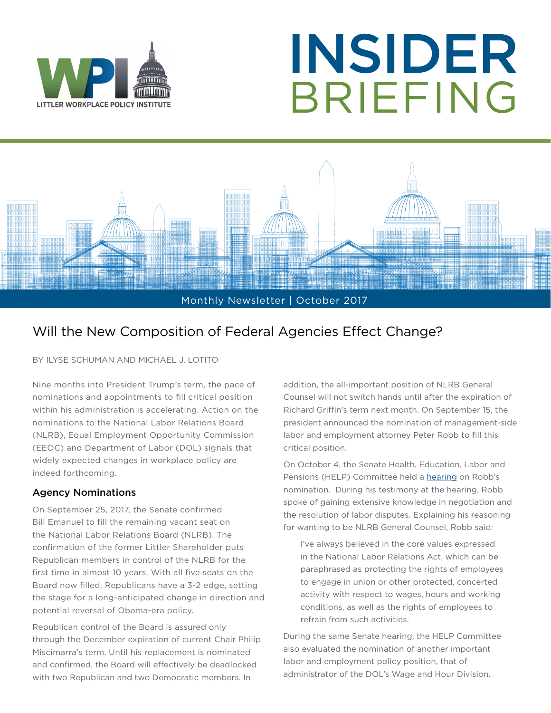

# INSIDER BRIEFING



### Will the New Composition of Federal Agencies Effect Change?

BY ILYSE SCHUMAN AND MICHAEL J. LOTITO

Nine months into President Trump's term, the pace of nominations and appointments to fill critical position within his administration is accelerating. Action on the nominations to the National Labor Relations Board (NLRB), Equal Employment Opportunity Commission (EEOC) and Department of Labor (DOL) signals that widely expected changes in workplace policy are indeed forthcoming.

#### Agency Nominations

On September 25, 2017, the Senate confirmed Bill Emanuel to fill the remaining vacant seat on the National Labor Relations Board (NLRB). The confirmation of the former Littler Shareholder puts Republican members in control of the NLRB for the first time in almost 10 years. With all five seats on the Board now filled, Republicans have a 3-2 edge, setting the stage for a long-anticipated change in direction and potential reversal of Obama-era policy.

Republican control of the Board is assured only through the December expiration of current Chair Philip Miscimarra's term. Until his replacement is nominated and confirmed, the Board will effectively be deadlocked with two Republican and two Democratic members. In

addition, the all-important position of NLRB General Counsel will not switch hands until after the expiration of Richard Griffin's term next month. On September 15, the president announced the nomination of management-side labor and employment attorney Peter Robb to fill this critical position.

On October 4, the Senate Health, Education, Labor and Pensions (HELP) Committee held a [hearing](https://www.help.senate.gov/imo/media/doc/Robb.pdf) on Robb's nomination. During his testimony at the hearing, Robb spoke of gaining extensive knowledge in negotiation and the resolution of labor disputes. Explaining his reasoning for wanting to be NLRB General Counsel, Robb said:

I've always believed in the core values expressed in the National Labor Relations Act, which can be paraphrased as protecting the rights of employees to engage in union or other protected, concerted activity with respect to wages, hours and working conditions, as well as the rights of employees to refrain from such activities.

During the same Senate hearing, the HELP Committee also evaluated the nomination of another important labor and employment policy position, that of administrator of the DOL's Wage and Hour Division.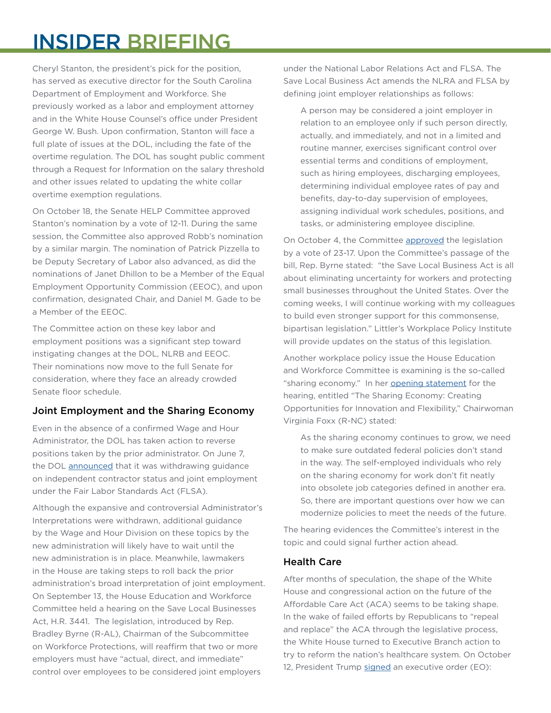## INSIDER BRIEFING

Cheryl Stanton, the president's pick for the position, has served as executive director for the South Carolina Department of Employment and Workforce. She previously worked as a labor and employment attorney and in the White House Counsel's office under President George W. Bush. Upon confirmation, Stanton will face a full plate of issues at the DOL, including the fate of the overtime regulation. The DOL has sought public comment through a Request for Information on the salary threshold and other issues related to updating the white collar overtime exemption regulations.

On October 18, the Senate HELP Committee approved Stanton's nomination by a vote of 12-11. During the same session, the Committee also approved Robb's nomination by a similar margin. The nomination of Patrick Pizzella to be Deputy Secretary of Labor also advanced, as did the nominations of Janet Dhillon to be a Member of the Equal Employment Opportunity Commission (EEOC), and upon confirmation, designated Chair, and Daniel M. Gade to be a Member of the EEOC.

The Committee action on these key labor and employment positions was a significant step toward instigating changes at the DOL, NLRB and EEOC. Their nominations now move to the full Senate for consideration, where they face an already crowded Senate floor schedule.

#### Joint Employment and the Sharing Economy

Even in the absence of a confirmed Wage and Hour Administrator, the DOL has taken action to reverse positions taken by the prior administrator. On June 7, the DOL [announced](https://www.littler.com/publication-press/publication/dol-withdraws-joint-employer-and-independent-contractor-guidance) that it was withdrawing guidance on independent contractor status and joint employment under the Fair Labor Standards Act (FLSA).

Although the expansive and controversial Administrator's Interpretations were withdrawn, additional guidance by the Wage and Hour Division on these topics by the new administration will likely have to wait until the new administration is in place. Meanwhile, lawmakers in the House are taking steps to roll back the prior administration's broad interpretation of joint employment. On September 13, the House Education and Workforce Committee held a hearing on the Save Local Businesses Act, H.R. 3441. The legislation, introduced by Rep. Bradley Byrne (R-AL), Chairman of the Subcommittee on Workforce Protections, will reaffirm that two or more employers must have "actual, direct, and immediate" control over employees to be considered joint employers

under the National Labor Relations Act and FLSA. The Save Local Business Act amends the NLRA and FLSA by defining joint employer relationships as follows:

A person may be considered a joint employer in relation to an employee only if such person directly, actually, and immediately, and not in a limited and routine manner, exercises significant control over essential terms and conditions of employment, such as hiring employees, discharging employees, determining individual employee rates of pay and benefits, day-to-day supervision of employees, assigning individual work schedules, positions, and tasks, or administering employee discipline.

On October 4, the Committee [approved](https://edworkforce.house.gov/news/documentsingle.aspx?DocumentID=402021) the legislation by a vote of 23-17. Upon the Committee's passage of the bill, Rep. Byrne stated: "the Save Local Business Act is all about eliminating uncertainty for workers and protecting small businesses throughout the United States. Over the coming weeks, I will continue working with my colleagues to build even stronger support for this commonsense, bipartisan legislation." Littler's Workplace Policy Institute will provide updates on the status of this legislation.

Another workplace policy issue the House Education and Workforce Committee is examining is the so-called "sharing economy." In her [opening statement](https://edworkforce.house.gov/calendar/eventsingle.aspx?EventID=401959) for the hearing, entitled "The Sharing Economy: Creating Opportunities for Innovation and Flexibility," Chairwoman Virginia Foxx (R-NC) stated:

As the sharing economy continues to grow, we need to make sure outdated federal policies don't stand in the way. The self-employed individuals who rely on the sharing economy for work don't fit neatly into obsolete job categories defined in another era. So, there are important questions over how we can modernize policies to meet the needs of the future.

The hearing evidences the Committee's interest in the topic and could signal further action ahead.

#### Health Care

After months of speculation, the shape of the White House and congressional action on the future of the Affordable Care Act (ACA) seems to be taking shape. In the wake of failed efforts by Republicans to "repeal and replace" the ACA through the legislative process, the White House turned to Executive Branch action to try to reform the nation's healthcare system. On October 12, President Trump [signed](https://www.littler.com/publication-press/publication/president-trump-issues-executive-order-reshape-health-insurance-market) an executive order (EO):